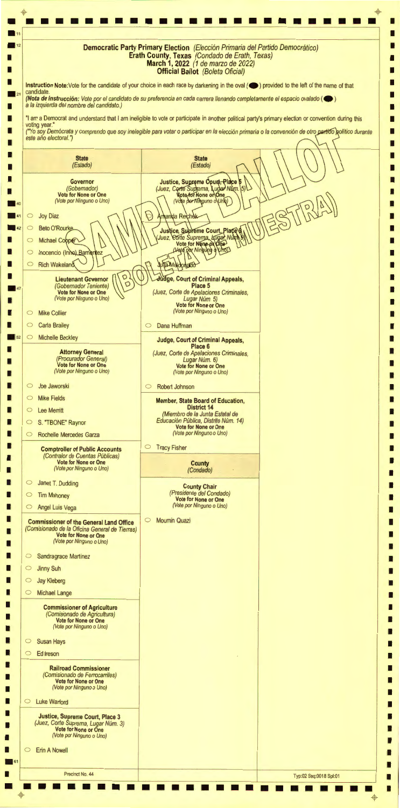•••••••••••••••••••••••• • • • I 1----------------- ------------------ --------- --l **Democratic Party Primary Election** (Elecci6n Primaria def Partido Democratico) I . 11 I  $\blacksquare$  12 **Erath County, Texas** (Condado de Erath, Texas) I I **March 1, 2022** (1 de marzo de 2022) I **Official Ballot** (Boleta Oficial) I I I **Instruction Note:Vote** for the candidate of your choice in each race by darkening in the oval ( **e )** provided to the left of the name of that candidate. I **(Nota de lnstruccion:** Vote por el candidato de su preferencia en cada carrera 1/enando completamente el espacio ova/ado ( **e )**  a la izquierda de/ nombre de/ candidato.) I I "I am a Democrat and understand that I am ineligible to vote or participate in another political party's primary election or convention during this I I voting year." I ("Yo soy Demócrata y comprendo que soy inelegible para votar o participar en la elección primaria o la convención de otro partido político durante I este año electoral.") I  $\Box$ I I **State State** (Estado) (Estado) I I I Justice, Supreme Court, Place<br>(Juez, Corte Suprema, Lugar Num.<br>Vote for None or One I **Governor**  (Gobemador) 51 I I **Vote for None or One**  (Vote por Ninguno o Uno) (Vote per Ninguno o Unio) I Amanda Reichak  $\circ$  Joy Diaz I 42  $\circ$ **Beto O'Rourke** Justice, Subreme Court, Place<br>Juez, Corte Suprema, kugał Numb I I  $\subset$ **Michael Cooper** I Vote por Ningung Vhol I  $\circ$ Inocencio (Inho) Barrientez I **Julia Maldonado** I  $\circ$ **Rich Wakeland** I I **Lieutenant Governor**  $\left(\bigcap_{\square} \bigcup_{\square} \bigcap_{\square}$ **ge, Court of Criminal Appeals,**  I **Place 5**  (Gobemador Teniente) 0 I **Vote for None or One**  (Juez, Corte de Ape/aciones Criminales, (Vote por Ninguno o Uno) Lugar Núm. 5) I I **Vote for None or One**  (Vote por Ninguno o Uno) I O Mike Collier I O Carla Brailey o Dana Huffman I I  $52$   $\circ$  Michelle Beckley I **Judge, Court of Criminal Appeals, Place 6**  I I **Attorney General**  (Juez, Corte de Ape/aciones Criminales, (Procurador General) Lugar Núm. 6) I I **Vote for None or One Vote for None or One**  (Vote por Ninguno o Uno) (Vote por Ninguno o Uno) I I I O Joe Jaworski o Robert Johnson I I O Mike Fields **Member, State Board of Education,**  I **District 14**  I O Lee Merritt I (Miembro de la Junta Estatal de Educación Pública, Distrito Núm. 14) I O S. "TBONE" Raynor I **Vote for None or One**  (Vote por Ninguno o Uno) I O Rochelle Mercedes Garza I I o Tracy Fisher **Comptroller of Public Accounts**  I (Contralor de Cuentas Públicas) I I **Vote for None or One County**  (Vote por Ninguno o Uno) (Condado) I I I O Janet T. Dudding **County Chair**  I (Presidente def Condado) I o Tim Mahoney I **Vote for None or One**  (Vote por Ninguno o Uno) I O Angel Luis Vega I I o Moumin Quazi **Commissioner of the General Land Office**  I (Comisionado de la Oficina General de Tierras) I I **Vote for None or One**  (Vote por Ninguno o Uno) I I I Sandragrace Martinez I I o Jinny Suh I I o Jay Kleberg I

| (Vote por Ninguno o Uno)                                                                                                          |  |
|-----------------------------------------------------------------------------------------------------------------------------------|--|
| <b>Susan Hays</b><br>$\circ$                                                                                                      |  |
| Ed Ireson<br>$\circ$                                                                                                              |  |
| <b>Railroad Commissioner</b><br>(Comisionado de Ferrocarriles)<br><b>Vote for None or One</b><br>(Vote por Ninguno o Uno)         |  |
| <b>Luke Warford</b><br>$\circ$                                                                                                    |  |
| <b>Justice, Supreme Court, Place 3</b><br>(Juez, Corte Suprema, Lugar Núm. 3)<br>Vote for None or One<br>(Vote por Ninguno o Uno) |  |
| <b>Erin A Nowell</b><br>$\circ$                                                                                                   |  |
|                                                                                                                                   |  |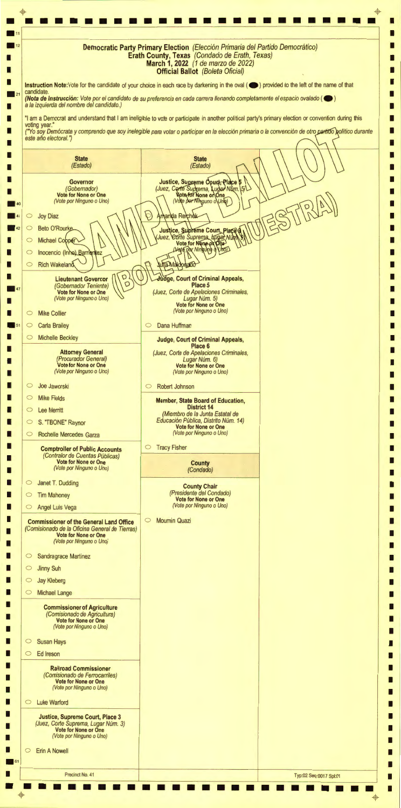+ + **. 11**<br>11 12 • • • • • • • • • • • • • • • • • • • • • • • • • I 1------ - ------------- - - ----------- - --- ------- -! **Democratic Party Primary Election** (Elecci6n Primaria def Partido Democratico) I I **Erath County, Texas** (Condado de Erath, Texas) I I **March 1, 2022** (1 de marzo de 2022) I **Official Ballot** (Boleta Oficial) I I I **Instruction Note:Vote** for the candidate of your choice in each race by darkening in the oval ( **e )** provided to the left of the name of that candidate. I **(Nota de lnstrucci6n:** Vote par el candidate de su preferencia en cada carrera 1/enando completamente el espacio ova/ado ( **e )**  a la izquierda def nombre def candidato.) I I "I am a Democrat and understand that I am ineligible to vote or participate in another political party's primary election or convention during this I I voting year." ("Yo soy Demócrata y comprendo que soy inelegible para votar o participar en la elección primaria o la convención de otro partido político durante I I este año electoral.") I I I I **State State** (Estado) (Estado) I I I Justice, Supreme Court, Place<br>(Juez, Corte Suprema, Lugar Num.<br>Wote for None or One I **Governor**  (Gobemador) I I **Vote for None or One**  (Vote por Ninguno o Uno) (Vote por Ninguno o Uno) I  $\circ$  Joy Diaz Amanda Reichak I  $\begin{array}{c|c|c}\n\hline\n\textbf{41} & \textbf{0} \\
\hline\n\textbf{42} & \textbf{0}\n\end{array}$ **Beto O'Rourke** Justice, Supreme Court, Plaçe<br>Juez, Corte Suprema, Kugar Num<br>Vote for None of One I I I  $\subset$ **Michael Cooper** I  $\circ$ Inocencio (Inhe) Barrie I rițez D **Julia Maldonado** I  $\circ$ **Rich Wakeland** I I **Lieutenant Governor**  $\left(\bigcap_{\square} \bigcup_{\square} \bigcap_{\square}$ I **ge, Court of Criminal Appeals, Place 5**  (Gobemador Teniente) 0 I **Vote for None or One**  (Juez, Corte de Apelaciones Criminales, (Vote por Ninguno o Uno) Lugar Núm. 5) I I **Vote for None or One**  (Vote por Ninguno o Uno) I o Mike Collier I o Dana Huffman  $\circ$  Carla Brailey I I o Michelle Beckley I **Judge, Court of Criminal Appeals, Place 6**  I I **Attorney General**  (Juez, Corte de Apelaciones Criminales, (Procurador General) Lugar Núm. 6) I I **Vote for None or One Vote for None or One**  (Vote por Ninguno o Uno) (Vote por Ninguno o Uno) I I I o Joe Jaworski o Robert Johnson I I o Mike Fields I **Member, State Board of Education, District 14**  I o Lee Merritt I (Miembro de la Junta Estatal de Educación Pública, Distrito Núm. 14) I 0 S. "TBONE" Raynor I **Vote for None or One**  (Vote por Ninguno o Uno) I 0 Rochelle Mercedes Garza I I o Tracy Fisher I **Comptroller of Public Accounts**  (Contralor de Cuentas Públicas) I I **Vote for None or One County**  (Vote por Ninguno o Uno) (Condado) I I I O Janet T. Dudding I **County Chair**  (Presidente def Condado) I o Tim Mahoney I **Vote for None or One**  (Vote por Ninguno o Uno) I o Angel Luis Vega I I o Moumin Quazi I **Commissioner of the General Land Office**  (Comisionado de la Oficina General de Tierras) I I **Vote for None or One**  (Vote por Ninguno o Uno) I I I O Sandragrace Martinez I I o Jinny Suh I I o Jay Kleberg I L

| <b>Michael Lange</b><br>$\circ$                                                                                                                             |  |
|-------------------------------------------------------------------------------------------------------------------------------------------------------------|--|
| <b>Commissioner of Agriculture</b><br>(Comisionado de Agricultura)<br>Vote for None or One<br>(Vote por Ninguno o Uno)                                      |  |
| <b>Susan Hays</b><br>$\circ$                                                                                                                                |  |
| Ed Ireson<br>$\circ$                                                                                                                                        |  |
| <b>Railroad Commissioner</b><br>(Comisionado de Ferrocarriles)<br><b>Vote for None or One</b><br>(Vote por Ninguno o Uno)<br><b>Luke Warford</b><br>$\circ$ |  |
| <b>Justice, Supreme Court, Place 3</b><br>(Juez, Corte Suprema, Lugar Núm. 3)<br>Vote for None or One<br>(Vote por Ninguno o Uno)                           |  |
| <b>Enn A Nowell</b><br>$\circ$                                                                                                                              |  |
| 61                                                                                                                                                          |  |
|                                                                                                                                                             |  |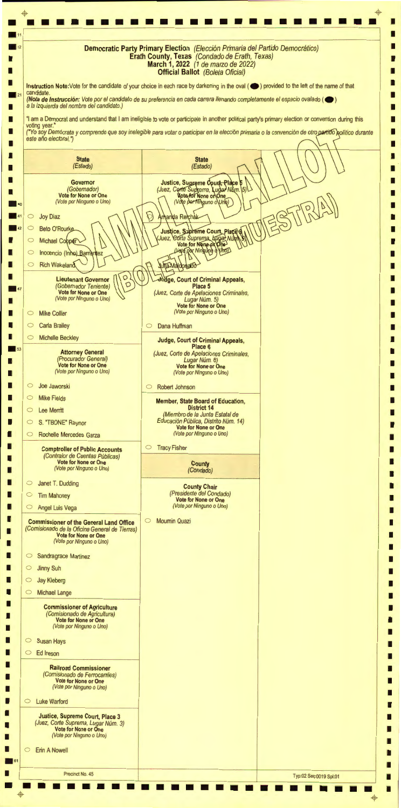• • ••••••••••••••••••••••••• I <sup>~</sup> - -------------- -------------------------- - --; **Democratic Party Primary Election** (Elecci6n Primaria def Parlido Democratico) I **. 11**  I **. 12 Erath County, Texas** (Condado de Erath, Texas) I I **March 1, 2022** (1 de marzo de 2022) I **Official Ballot** (Boleta Oficial) I I I **Instruction Note:Vote** for the candidate of your choice in each race by darkening in the oval ( **e )** provided to the left of the name of that candidate I **(Nota de lnstrucci6n:** Vote por el candidato de su preferencia en cada carrera 1/enando completamente el espacio ova/ado ( **e )**  a la izquierda del nombre del candidato.) I I "I am a Democrat and understand that I am ineligible to vote or participate in another political party's primary election or convention during this I I voting year." I I ("Yo soy Demócrata y comprendo que soy inelegible para votar o participar en la elección primaria o la convención de otro partido político durante este año electoral.") I I I I **State State** (Estado) (Estado) I I I I Justice, Supreme Court, Place **Governor**  Б (Juez, Corte Suprema, Lugar Num. (Gobernador) 15 I I **Vote for None or One**  Vote por Ninguno o Uno) (Vote por Ninguno o Uno) **140**<br>144<br>142<br>142 I Amanda Reichek  $\circ$ Joy Diaz I **Beto O'Rourke** Justice, Subreme Court, Place<br>Juez, Corte Suprema, Lugar Num<br>Vote for None of One  $\subset$ I I Michael Cobper  $\subset$ I Vote por Ning UnoD ად Inocencio (Inno) Barrientez I  $\circ$ I **Julia Maldonado** I **Rich Wakeland**  $\circ$ I I Lieutenant Governor  $\bigcap_{\Box}$  **B ge, Court of Criminal Appeals,**  I **Place 5**   $\blacksquare$ I **Vote for None or One**  (Juez, Corte de Ape/aciones Criminales, (Vote por Ninguno o Uno) Lugar Núm. 5) I I **Vote for None or One**  (Vote por Ninguno o Uno) I Mike Collier  $\circ$ I Carla Brailey I  $\circ$ 0 Dana Huffman I I  $\circ$ Michelle Beckley **Judge, Court of Criminal Appeals,**  I **Place 6**  . 53 I **Attorney General**  (Juez, Corte de Apelaciones Criminales, (Procurador General) Lugar Núm. 6) I I **Vote for None or One Vote for None or One**  (Vote por Ninguno o Uno) (Vote por Ninguno o Uno) I I I Joe Jaworski  $\circ$ 0 Robert Johnson I I  $\subset$ Mike Fields **Member, State Board of Education,**  I **District 14**  I  $\circ$ **Lee Memtt** I (Miembro de la Junta Estatal de Educación Pública, Distrito Núm. 14) S. "TBONE" Raynor I  $\circ$ I **Vote for None or One**  (Vote por Ninguno o Uno) I  $\circ$ Rochelle Mercedes Garza I I 0 Tracy Fisher **Comptroller of Public Accounts**  I (Contra/or de Cuentas Publicas) I I **Vote for None or One County**  (Vote por Ninguno o Uno) I (Condado) I I  $\circ$ Janet T. Dudding I **County Chair**  (Presidente def Condado) I  $\circ$ Tim Mahoney I **Vote for None or One**  I (Vote por Ninguno o Uno)  $\circ$ Angel Luis Vega I I 0 Moumin Quazi **Commissioner of the General Land Office**  I (Comisionado de la Oficina General de Tierras) I **Vote for None or One**  I (Vote por Ninguno o Uno) I I I 0 Sandragrace Martinez I I 0 Jinny Suh I I 0 Jay Kleberg I

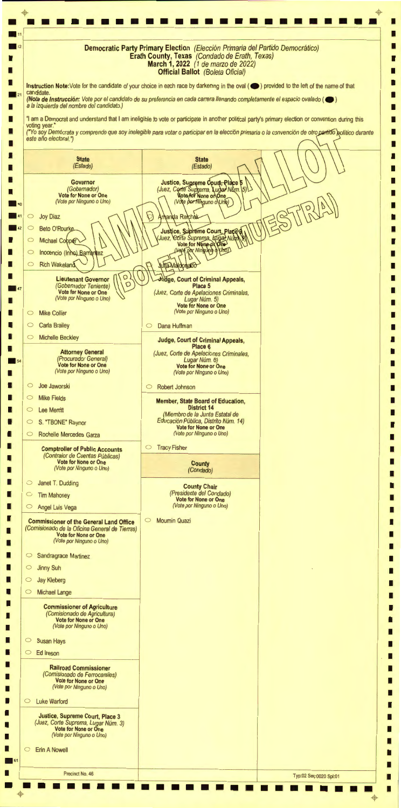•<mark>•••••••••••••••••••••••••</mark>  $\mathbf{P}$ -\$-  $\blacksquare$ ■ 11<br>
■ 12<br> **Democratic Party Primary Election** *(Elección Primaria del Partido Democrático)* I I **Erath County, Texas** (Condado de Erath, Texas) I I **March 1, 2022** (1 de marzo de 2022) I **Official Ballot** (Boleta Oficial) I I I **Instruction Note:Vote** for the candidate of your choice in each race by darkening in the oval ( **e )** provided to the left of the name of that candidate I **(Nota de lnstrucci6n:** Vote por el candidato de su preferencia en cada carrera 1/enando completamente el espacio ova/ado ( **e )**  a la izquierda def nombre def candidato.) I I I "I am a Democrat and understand that I am ineligible to vote or participate in another political party's primary election or convention during this I voting year." I ("Yo soy Demócrata y comprendo que soy inelegible para votar o participar en la elección primaria o la convención de otro partido golítico durante I este año electoral.") I I I I **State State**  (Estado) (Estado) I I I Justice, Supreme Court, Place 6<br>(Juez, Corte Suprema, Lugar Num.)<br>Wote for None or One I **Governor**  (Gobernador)  $\langle 5 \rangle$ I I **Vote for None or One**  (Vote por Ninguno o Uno) (Vote por Ninguno o Uno)  $\begin{array}{|c|c|c|}\n\hline\n\textbf{40} & \multicolumn{1}{|c|}{40} \\
\hline\n\textbf{41} & \multicolumn{1}{|c|}{42} & \multicolumn{1}{|c|}{\textbf{42}} \\
\hline\n\textbf{42} & \multicolumn{1}{|c|}{\textbf{43}}\n\end{array}$ I Joy Diaz Amanda Reichek  $\circ$ I **Beto O'Rourke**  $\circ$ Justice, Supreme Court, Plaçe<br>Juez, Corte Suprema, Kugar Nun I I  $\circ$ Michael Copper I Vote por Ning VHOD vog I  $\circ$ Inocencio (Inhe) Barrientez I **Julia Maldonado** I **Rich Wakeland**  $\circ$ I I Lieutenant Governor  $\left(\begin{matrix} 0 \\ 0 \end{matrix}\right)$ **ge, Court of Criminal Appeals,**  I **Place 5 . 47** I **Vote for None or One**  (Juez, Corte de Apelaciones Crimina/es, (Vote por Ninguno o Uno) Lugar Núm. 5) I I **Vote for None or One**  (Vote por Ninguno o Uno) I  $\circ$ Mike Collier I I  $\circ$ Carla Brailey 0 Dana Huffman I I Michelle Beckley  $\circ$ **Judge, Court of Criminal Appeals,**  I **Place 6**   $\overline{\phantom{a}}$ <sub>54</sub> I I **Attorney General**  (Juez, Corte de Ape/aciones Criminales, (Procurador General) Lugar Núm. 6) I **Vote for None or One Vote for None or One**  (Vote por Ninguno o Uno) (Vote por Ninguno o Uno) I I I  $\subset$ Joe Jaworski 0 Robert Johnson I I  $\circ$ Mike Fields I **Member, State Board of Education, District 14**  I Lee Merritt  $\circ$ I (Miembro de la Junta Estatal de Educación Pública, Distrito Núm. 14) I  $\circ$ S. "TBONE" Raynor I **Vote for None or One**  (Vote por Ninguno o Uno) I Rochelle Mercedes Garza  $\circ$ I I 0 Tracy Fisher **Comptroller of Public Accounts**  I (Contralor de Cuentas Públicas) I **Vote for None or One**  I **County**  (Vote por Ninguno o Uno) I (Condado) I I  $\circ$ Janet T. Dudding I **County Chair**  (Presidente def Condado) I Tim Mahoney  $\circ$ I **Vote for None or One**  (Vote por Ninguno o Uno) I  $\circ$ Angel Luis Vega I I **Moumin Quazi Commissioner of the General Land Office**  I (Comisionado de la Oficina General de Tierras) I **Vote for None or One**  I (Vote por Ninguno o Uno) I I I 0 Sandragrace Martinez I I  $\circ$  Jinny Suh I I 0 Jay Kleberg I